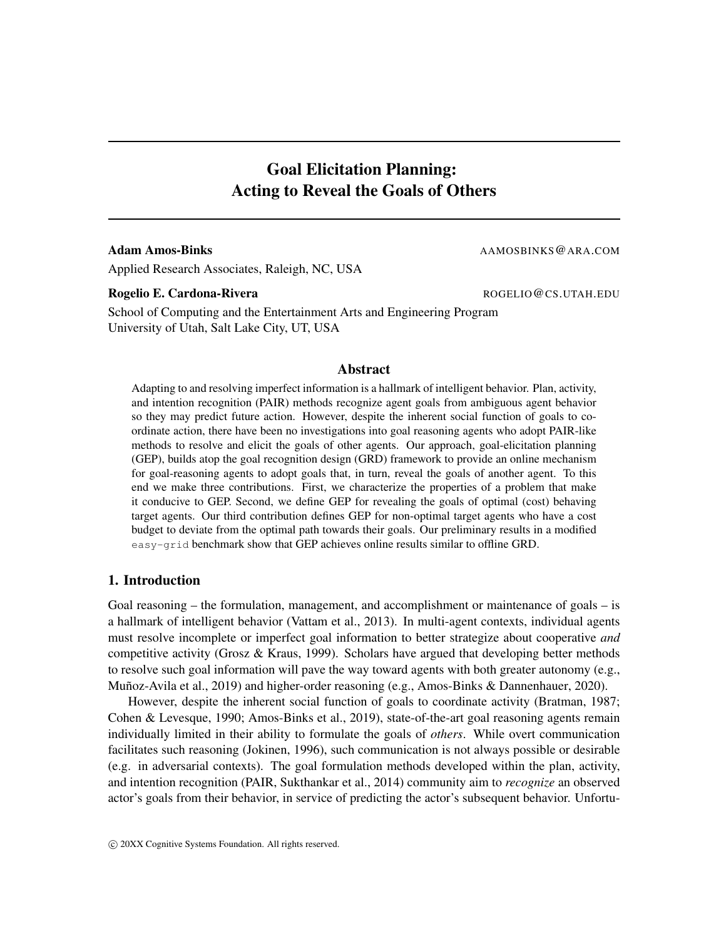# Goal Elicitation Planning: Acting to Reveal the Goals of Others

#### Adam Amos-Binks and the second of the second and the second and the second and the second and the second and the second second second second second second second second second second second second second second second seco

Applied Research Associates, Raleigh, NC, USA

#### Rogelio E. Cardona-Rivera **Rogelio E. Cardona-Rivera** ROGELIO COS.UTAH.EDU

School of Computing and the Entertainment Arts and Engineering Program University of Utah, Salt Lake City, UT, USA

## Abstract

Adapting to and resolving imperfect information is a hallmark of intelligent behavior. Plan, activity, and intention recognition (PAIR) methods recognize agent goals from ambiguous agent behavior so they may predict future action. However, despite the inherent social function of goals to coordinate action, there have been no investigations into goal reasoning agents who adopt PAIR-like methods to resolve and elicit the goals of other agents. Our approach, goal-elicitation planning (GEP), builds atop the goal recognition design (GRD) framework to provide an online mechanism for goal-reasoning agents to adopt goals that, in turn, reveal the goals of another agent. To this end we make three contributions. First, we characterize the properties of a problem that make it conducive to GEP. Second, we define GEP for revealing the goals of optimal (cost) behaving target agents. Our third contribution defines GEP for non-optimal target agents who have a cost budget to deviate from the optimal path towards their goals. Our preliminary results in a modified easy-grid benchmark show that GEP achieves online results similar to offline GRD.

## 1. Introduction

Goal reasoning – the formulation, management, and accomplishment or maintenance of goals – is a hallmark of intelligent behavior (Vattam et al., 2013). In multi-agent contexts, individual agents must resolve incomplete or imperfect goal information to better strategize about cooperative *and* competitive activity (Grosz & Kraus, 1999). Scholars have argued that developing better methods to resolve such goal information will pave the way toward agents with both greater autonomy (e.g., Muñoz-Avila et al., 2019) and higher-order reasoning (e.g., Amos-Binks & Dannenhauer, 2020).

However, despite the inherent social function of goals to coordinate activity (Bratman, 1987; Cohen & Levesque, 1990; Amos-Binks et al., 2019), state-of-the-art goal reasoning agents remain individually limited in their ability to formulate the goals of *others*. While overt communication facilitates such reasoning (Jokinen, 1996), such communication is not always possible or desirable (e.g. in adversarial contexts). The goal formulation methods developed within the plan, activity, and intention recognition (PAIR, Sukthankar et al., 2014) community aim to *recognize* an observed actor's goals from their behavior, in service of predicting the actor's subsequent behavior. Unfortu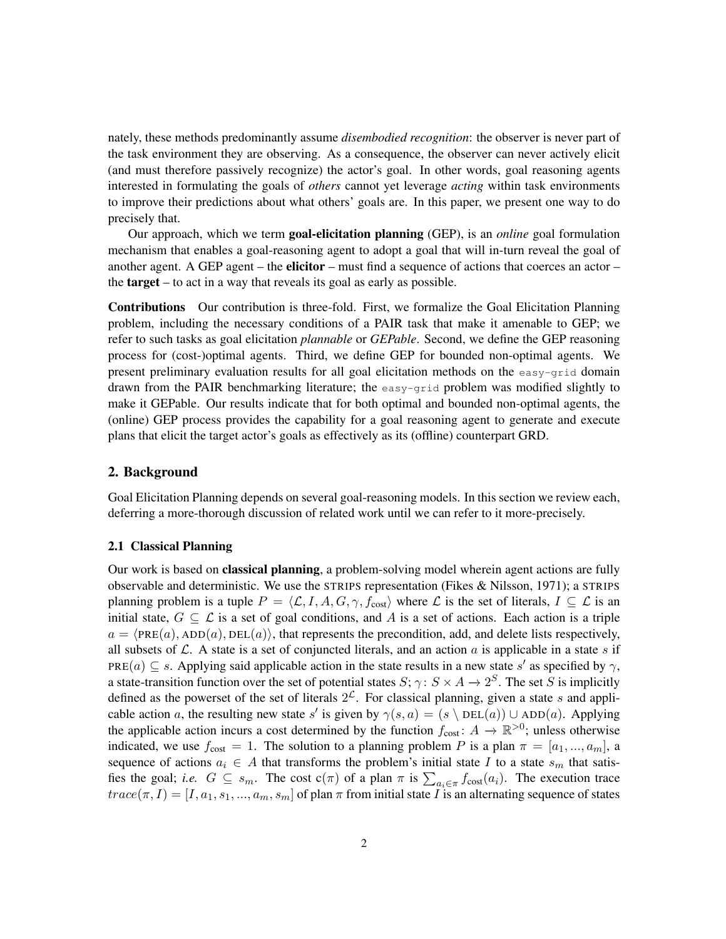nately, these methods predominantly assume *disembodied recognition*: the observer is never part of the task environment they are observing. As a consequence, the observer can never actively elicit (and must therefore passively recognize) the actor's goal. In other words, goal reasoning agents interested in formulating the goals of *others* cannot yet leverage *acting* within task environments to improve their predictions about what others' goals are. In this paper, we present one way to do precisely that.

Our approach, which we term goal-elicitation planning (GEP), is an *online* goal formulation mechanism that enables a goal-reasoning agent to adopt a goal that will in-turn reveal the goal of another agent. A GEP agent – the **elicitor** – must find a sequence of actions that coerces an actor – the target – to act in a way that reveals its goal as early as possible.

Contributions Our contribution is three-fold. First, we formalize the Goal Elicitation Planning problem, including the necessary conditions of a PAIR task that make it amenable to GEP; we refer to such tasks as goal elicitation *plannable* or *GEPable*. Second, we define the GEP reasoning process for (cost-)optimal agents. Third, we define GEP for bounded non-optimal agents. We present preliminary evaluation results for all goal elicitation methods on the easy-grid domain drawn from the PAIR benchmarking literature; the easy-grid problem was modified slightly to make it GEPable. Our results indicate that for both optimal and bounded non-optimal agents, the (online) GEP process provides the capability for a goal reasoning agent to generate and execute plans that elicit the target actor's goals as effectively as its (offline) counterpart GRD.

## 2. Background

Goal Elicitation Planning depends on several goal-reasoning models. In this section we review each, deferring a more-thorough discussion of related work until we can refer to it more-precisely.

#### 2.1 Classical Planning

Our work is based on classical planning, a problem-solving model wherein agent actions are fully observable and deterministic. We use the STRIPS representation (Fikes & Nilsson, 1971); a STRIPS planning problem is a tuple  $P = \langle \mathcal{L}, I, A, G, \gamma, f_{\text{cost}} \rangle$  where  $\mathcal{L}$  is the set of literals,  $I \subseteq \mathcal{L}$  is an initial state,  $G \subseteq \mathcal{L}$  is a set of goal conditions, and A is a set of actions. Each action is a triple  $a = \langle PRE(a), ADD(a), DEL(a)\rangle$ , that represents the precondition, add, and delete lists respectively, all subsets of  $\mathcal L$ . A state is a set of conjuncted literals, and an action a is applicable in a state s if PRE(a)  $\subseteq$  s. Applying said applicable action in the state results in a new state s' as specified by  $\gamma$ , a state-transition function over the set of potential states  $S; \gamma \colon S \times A \to 2^S$ . The set S is implicitly defined as the powerset of the set of literals  $2^{\mathcal{L}}$ . For classical planning, given a state s and applicable action a, the resulting new state s' is given by  $\gamma(s, a) = (s \setminus \text{DEL}(a)) \cup \text{ADD}(a)$ . Applying the applicable action incurs a cost determined by the function  $f_{\text{cost}}: A \to \mathbb{R}^{>0}$ ; unless otherwise indicated, we use  $f_{\text{cost}} = 1$ . The solution to a planning problem P is a plan  $\pi = [a_1, ..., a_m]$ , a sequence of actions  $a_i \in A$  that transforms the problem's initial state I to a state  $s_m$  that satisfies the goal; *i.e.*  $G \subseteq s_m$ . The cost  $c(\pi)$  of a plan  $\pi$  is  $\sum_{a_i \in \pi} f_{cost}(a_i)$ . The execution trace  $trace(\pi, I) = [I, a_1, s_1, ..., a_m, s_m]$  of plan  $\pi$  from initial state I is an alternating sequence of states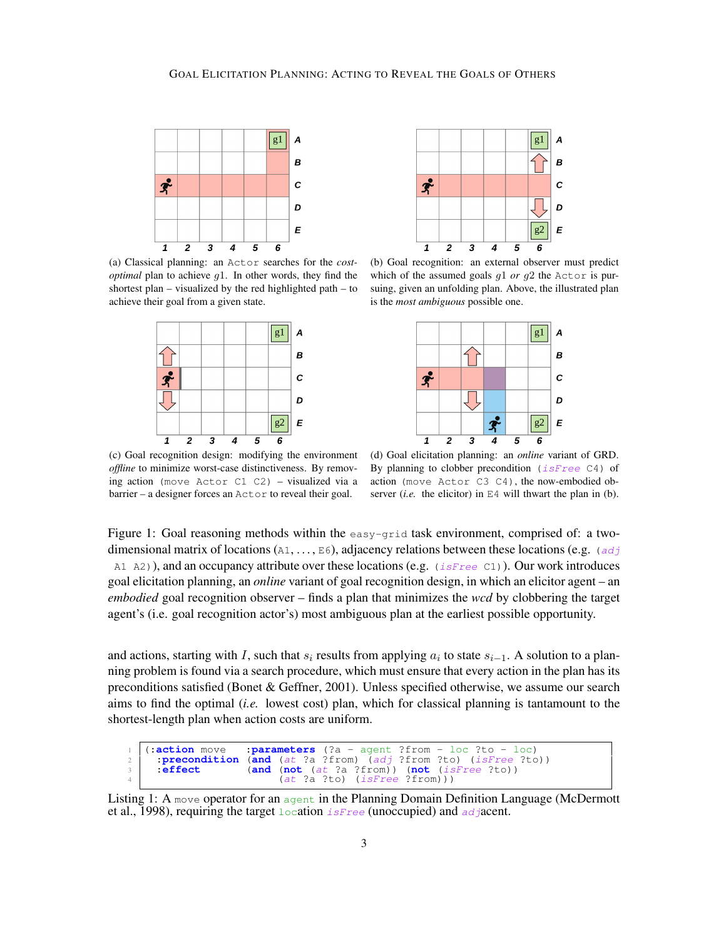



(a) Classical planning: an Actor searches for the *costoptimal* plan to achieve g1. In other words, they find the shortest plan – visualized by the red highlighted path – to achieve their goal from a given state.



(b) Goal recognition: an external observer must predict which of the assumed goals g1 *or* g2 the Actor is pursuing, given an unfolding plan. Above, the illustrated plan is the *most ambiguous* possible one.



(c) Goal recognition design: modifying the environment *offline* to minimize worst-case distinctiveness. By removing action (move Actor C1 C2) – visualized via a barrier – a designer forces an Actor to reveal their goal.

(d) Goal elicitation planning: an *online* variant of GRD. By planning to clobber precondition  $(i sFree C4)$  of action (move Actor C3 C4), the now-embodied observer (*i.e.* the elicitor) in  $E4$  will thwart the plan in (b).

Figure 1: Goal reasoning methods within the easy-grid task environment, comprised of: a twodimensional matrix of locations (A1, ..., E6), adjacency relations between these locations (e.g. (adj A1 A2)), and an occupancy attribute over these locations (e.g.  $(i sFree \text{C1})$ ). Our work introduces goal elicitation planning, an *online* variant of goal recognition design, in which an elicitor agent – an *embodied* goal recognition observer – finds a plan that minimizes the *wcd* by clobbering the target agent's (i.e. goal recognition actor's) most ambiguous plan at the earliest possible opportunity.

and actions, starting with I, such that  $s_i$  results from applying  $a_i$  to state  $s_{i-1}$ . A solution to a planning problem is found via a search procedure, which must ensure that every action in the plan has its preconditions satisfied (Bonet & Geffner, 2001). Unless specified otherwise, we assume our search aims to find the optimal (*i.e.* lowest cost) plan, which for classical planning is tantamount to the shortest-length plan when action costs are uniform.

```
1 (:action move :parameters (?a - agent ?from - loc ?to - loc)
2 :precondition (and (at ?a ?from) (adj ?from ?to) (isFree ?to)) <br>3 :effect (and (not (at ?a ?from)) (not (isFree ?to))
                              (not (at ?a ?from)) (not
                              (at  ?a ?to) (isFree ?from)))
```
Listing 1: A move operator for an agent in the Planning Domain Definition Language (McDermott et al., 1998), requiring the target  $l$  ocation  $i$  s Free (unoccupied) and adjacent.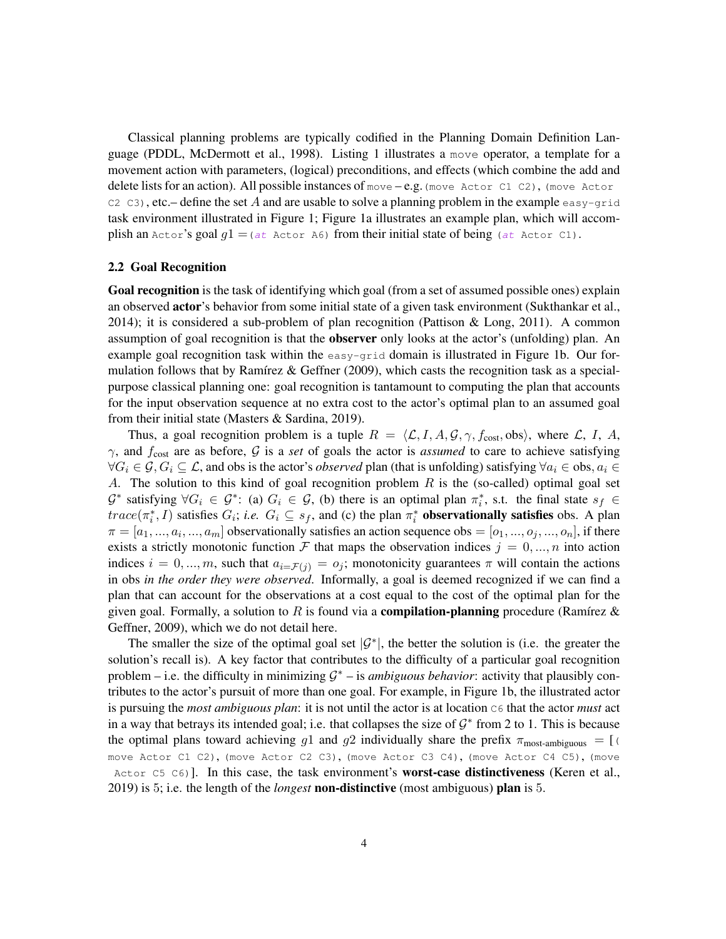Classical planning problems are typically codified in the Planning Domain Definition Language (PDDL, McDermott et al., 1998). Listing 1 illustrates a move operator, a template for a movement action with parameters, (logical) preconditions, and effects (which combine the add and delete lists for an action). All possible instances of move – e.g. (move Actor C1 C2), (move Actor  $C2 C3$ , etc.– define the set A and are usable to solve a planning problem in the example easy-grid task environment illustrated in Figure 1; Figure 1a illustrates an example plan, which will accomplish an Actor's goal  $g1 = (at$  Actor A6) from their initial state of being (at Actor C1).

#### 2.2 Goal Recognition

Goal recognition is the task of identifying which goal (from a set of assumed possible ones) explain an observed **actor**'s behavior from some initial state of a given task environment (Sukthankar et al., 2014); it is considered a sub-problem of plan recognition (Pattison & Long, 2011). A common assumption of goal recognition is that the observer only looks at the actor's (unfolding) plan. An example goal recognition task within the easy-grid domain is illustrated in Figure 1b. Our formulation follows that by Ramírez & Geffner (2009), which casts the recognition task as a specialpurpose classical planning one: goal recognition is tantamount to computing the plan that accounts for the input observation sequence at no extra cost to the actor's optimal plan to an assumed goal from their initial state (Masters & Sardina, 2019).

Thus, a goal recognition problem is a tuple  $R = \langle \mathcal{L}, I, A, \mathcal{G}, \gamma, f_{\text{cost}}, \text{obs} \rangle$ , where  $\mathcal{L}, I, A$ ,  $\gamma$ , and  $f_{\text{cost}}$  are as before, G is a *set* of goals the actor is *assumed* to care to achieve satisfying  $\forall G_i \in \mathcal{G}, G_i \subseteq \mathcal{L}$ , and obs is the actor's *observed* plan (that is unfolding) satisfying  $\forall a_i \in \text{obs}, a_i \in$ A. The solution to this kind of goal recognition problem  $R$  is the (so-called) optimal goal set  $\mathcal{G}^*$  satisfying  $\forall G_i \in \mathcal{G}^*$ : (a)  $G_i \in \mathcal{G}$ , (b) there is an optimal plan  $\pi_i^*$ , s.t. the final state  $s_f \in$  $trace(\pi_i^*, I)$  satisfies  $G_i$ ; *i.e.*  $G_i \subseteq s_f$ , and (c) the plan  $\pi_i^*$  **observationally satisfies** obs. A plan  $\pi = [a_1, ..., a_i, ..., a_m]$  observationally satisfies an action sequence obs  $=[o_1, ..., o_j, ..., o_n]$ , if there exists a strictly monotonic function F that maps the observation indices  $j = 0, ..., n$  into action indices  $i = 0, ..., m$ , such that  $a_{i=F(j)} = o_j$ ; monotonicity guarantees  $\pi$  will contain the actions in obs *in the order they were observed*. Informally, a goal is deemed recognized if we can find a plan that can account for the observations at a cost equal to the cost of the optimal plan for the given goal. Formally, a solution to R is found via a **compilation-planning** procedure (Ramírez & Geffner, 2009), which we do not detail here.

The smaller the size of the optimal goal set  $|\mathcal{G}^*|$ , the better the solution is (i.e. the greater the solution's recall is). A key factor that contributes to the difficulty of a particular goal recognition problem  $-$  i.e. the difficulty in minimizing  $\mathcal{G}^*$   $-$  is *ambiguous behavior*: activity that plausibly contributes to the actor's pursuit of more than one goal. For example, in Figure 1b, the illustrated actor is pursuing the *most ambiguous plan*: it is not until the actor is at location C6 that the actor *must* act in a way that betrays its intended goal; i.e. that collapses the size of  $\mathcal{G}^*$  from 2 to 1. This is because the optimal plans toward achieving g1 and g2 individually share the prefix  $\pi_{\text{most-ambiguous}} = [$ move Actor C1 C2), (move Actor C2 C3), (move Actor C3 C4), (move Actor C4 C5), (move Actor C5 C6)]. In this case, the task environment's **worst-case distinctiveness** (Keren et al., 2019) is 5; i.e. the length of the *longest* non-distinctive (most ambiguous) plan is 5.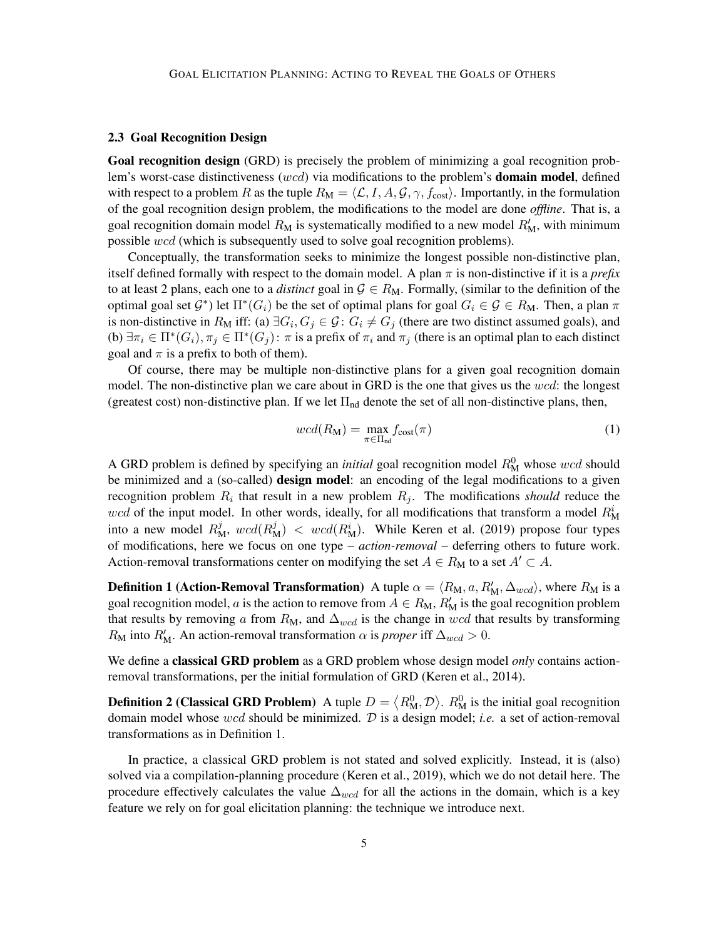#### 2.3 Goal Recognition Design

Goal recognition design (GRD) is precisely the problem of minimizing a goal recognition problem's worst-case distinctiveness (wcd) via modifications to the problem's **domain model**, defined with respect to a problem R as the tuple  $R_M = \langle \mathcal{L}, I, A, \mathcal{G}, \gamma, f_{\text{cost}} \rangle$ . Importantly, in the formulation of the goal recognition design problem, the modifications to the model are done *offline*. That is, a goal recognition domain model  $R_M$  is systematically modified to a new model  $R'_M$ , with minimum possible wcd (which is subsequently used to solve goal recognition problems).

Conceptually, the transformation seeks to minimize the longest possible non-distinctive plan, itself defined formally with respect to the domain model. A plan π is non-distinctive if it is a *prefix* to at least 2 plans, each one to a *distinct* goal in  $\mathcal{G} \in R_M$ . Formally, (similar to the definition of the optimal goal set  $\mathcal{G}^*$ ) let  $\Pi^*(G_i)$  be the set of optimal plans for goal  $G_i \in \mathcal{G} \in R_M$ . Then, a plan  $\pi$ is non-distinctive in  $R_M$  iff: (a)  $\exists G_i, G_j \in \mathcal{G}$ :  $G_i \neq G_j$  (there are two distinct assumed goals), and (b)  $\exists \pi_i \in \Pi^*(G_i)$ ,  $\pi_j \in \Pi^*(G_j)$ :  $\pi$  is a prefix of  $\pi_i$  and  $\pi_j$  (there is an optimal plan to each distinct goal and  $\pi$  is a prefix to both of them).

Of course, there may be multiple non-distinctive plans for a given goal recognition domain model. The non-distinctive plan we care about in GRD is the one that gives us the  $wcd$ : the longest (greatest cost) non-distinctive plan. If we let  $\Pi_{nd}$  denote the set of all non-distinctive plans, then,

$$
wcd(R_M) = \max_{\pi \in \Pi_{\text{nd}}} f_{\text{cost}}(\pi)
$$
\n(1)

A GRD problem is defined by specifying an *initial* goal recognition model  $R_M^0$  whose wcd should be minimized and a (so-called) **design model**: an encoding of the legal modifications to a given recognition problem  $R_i$  that result in a new problem  $R_j$ . The modifications *should* reduce the wcd of the input model. In other words, ideally, for all modifications that transform a model  $R_{\rm M}^{i}$ into a new model  $R_M^j$ ,  $wcd(R_M^j)$  <  $wcd(R_M^i)$ . While Keren et al. (2019) propose four types of modifications, here we focus on one type – *action-removal* – deferring others to future work. Action-removal transformations center on modifying the set  $A \in R_M$  to a set  $A' \subset A$ .

**Definition 1 (Action-Removal Transformation)** A tuple  $\alpha = \langle R_M, a, R'_M, \Delta_{wcd} \rangle$ , where  $R_M$  is a goal recognition model, a is the action to remove from  $A \in R_M$ ,  $R'_M$  is the goal recognition problem that results by removing a from  $R_M$ , and  $\Delta_{wcd}$  is the change in wcd that results by transforming  $R_{\rm M}$  into  $R'_{\rm M}$ . An action-removal transformation  $\alpha$  is *proper* iff  $\Delta_{wcd} > 0$ .

We define a classical GRD problem as a GRD problem whose design model *only* contains actionremoval transformations, per the initial formulation of GRD (Keren et al., 2014).

**Definition 2 (Classical GRD Problem)** A tuple  $D = \langle R_M^0, \mathcal{D} \rangle$ .  $R_M^0$  is the initial goal recognition domain model whose wcd should be minimized. D is a design model; *i.e.* a set of action-removal transformations as in Definition 1.

In practice, a classical GRD problem is not stated and solved explicitly. Instead, it is (also) solved via a compilation-planning procedure (Keren et al., 2019), which we do not detail here. The procedure effectively calculates the value  $\Delta_{wcd}$  for all the actions in the domain, which is a key feature we rely on for goal elicitation planning: the technique we introduce next.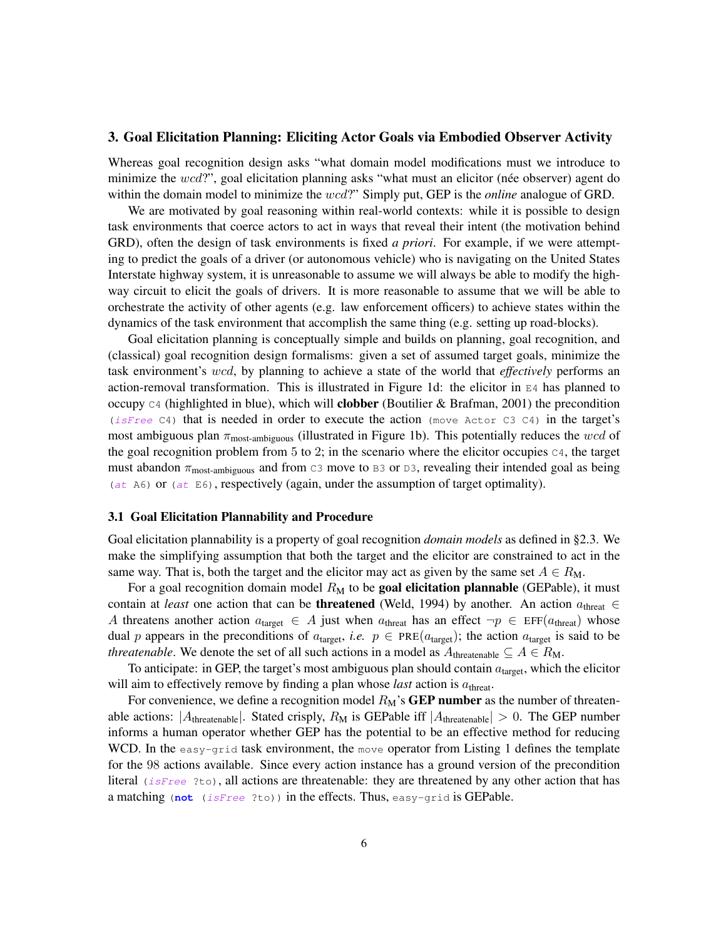#### 3. Goal Elicitation Planning: Eliciting Actor Goals via Embodied Observer Activity

Whereas goal recognition design asks "what domain model modifications must we introduce to minimize the  $wcd$ ?", goal elicitation planning asks "what must an elicitor (née observer) agent do within the domain model to minimize the wcd?" Simply put, GEP is the *online* analogue of GRD.

We are motivated by goal reasoning within real-world contexts: while it is possible to design task environments that coerce actors to act in ways that reveal their intent (the motivation behind GRD), often the design of task environments is fixed *a priori*. For example, if we were attempting to predict the goals of a driver (or autonomous vehicle) who is navigating on the United States Interstate highway system, it is unreasonable to assume we will always be able to modify the highway circuit to elicit the goals of drivers. It is more reasonable to assume that we will be able to orchestrate the activity of other agents (e.g. law enforcement officers) to achieve states within the dynamics of the task environment that accomplish the same thing (e.g. setting up road-blocks).

Goal elicitation planning is conceptually simple and builds on planning, goal recognition, and (classical) goal recognition design formalisms: given a set of assumed target goals, minimize the task environment's wcd, by planning to achieve a state of the world that *effectively* performs an action-removal transformation. This is illustrated in Figure 1d: the elicitor in  $E_4$  has planned to occupy  $C_4$  (highlighted in blue), which will **clobber** (Boutilier & Brafman, 2001) the precondition (isFree C4) that is needed in order to execute the action (move Actor C3 C4) in the target's most ambiguous plan  $\pi_{\text{most-ambiguous}}$  (illustrated in Figure 1b). This potentially reduces the wcd of the goal recognition problem from 5 to 2; in the scenario where the elicitor occupies  $C_4$ , the target must abandon  $\pi_{\text{most-ambiguous}}$  and from C3 move to B3 or D3, revealing their intended goal as being (at A6) or (at E6), respectively (again, under the assumption of target optimality).

#### 3.1 Goal Elicitation Plannability and Procedure

Goal elicitation plannability is a property of goal recognition *domain models* as defined in §2.3. We make the simplifying assumption that both the target and the elicitor are constrained to act in the same way. That is, both the target and the elicitor may act as given by the same set  $A \in R_M$ .

For a goal recognition domain model  $R_M$  to be goal elicitation plannable (GEPable), it must contain at *least* one action that can be **threatened** (Weld, 1994) by another. An action  $a_{\text{thresh}} \in$ A threatens another action  $a_{\text{target}} \in A$  just when  $a_{\text{thresh}}$  has an effect  $\neg p \in \text{EFF}(a_{\text{thresh}})$  whose dual p appears in the preconditions of  $a_{\text{target}}$ , *i.e.*  $p \in \text{PRE}(a_{\text{target}})$ ; the action  $a_{\text{target}}$  is said to be *threatenable*. We denote the set of all such actions in a model as  $A_{\text{threetable}} \subseteq A \in R_M$ .

To anticipate: in GEP, the target's most ambiguous plan should contain  $a<sub>target</sub>$ , which the elicitor will aim to effectively remove by finding a plan whose *last* action is  $a_{\text{thresh}}$ .

For convenience, we define a recognition model  $R_M$ 's **GEP number** as the number of threatenable actions:  $|A_{\text{threadble}}|$ . Stated crisply,  $R_M$  is GEPable iff  $|A_{\text{threadble}}| > 0$ . The GEP number informs a human operator whether GEP has the potential to be an effective method for reducing WCD. In the easy-grid task environment, the move operator from Listing 1 defines the template for the 98 actions available. Since every action instance has a ground version of the precondition literal (isFree ?to), all actions are threatenable: they are threatened by any other action that has a matching (**not** (isFree ?to)) in the effects. Thus, easy-grid is GEPable.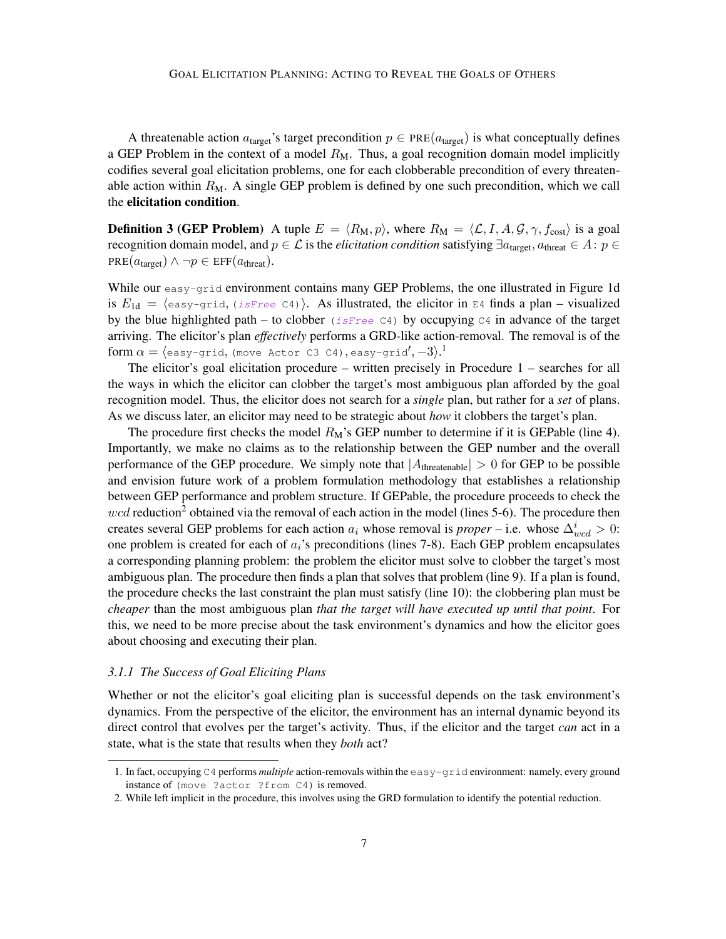A threatenable action  $a_{\text{target}}$ 's target precondition  $p \in \text{PRE}(a_{\text{target}})$  is what conceptually defines a GEP Problem in the context of a model  $R_M$ . Thus, a goal recognition domain model implicitly codifies several goal elicitation problems, one for each clobberable precondition of every threatenable action within  $R_M$ . A single GEP problem is defined by one such precondition, which we call the elicitation condition.

**Definition 3 (GEP Problem)** A tuple  $E = \langle R_M, p \rangle$ , where  $R_M = \langle \mathcal{L}, I, A, \mathcal{G}, \gamma, f_{\text{cost}} \rangle$  is a goal recognition domain model, and  $p \in \mathcal{L}$  is the *elicitation condition* satisfying  $\exists a_{\text{target}}, a_{\text{thresh}} \in A : p \in \mathcal{L}$  $PRE(a_{\text{target}}) \wedge \neg p \in \text{EFF}(a_{\text{thresh}}).$ 

While our easy-grid environment contains many GEP Problems, the one illustrated in Figure 1d is  $E_{1d} = \langle \text{easy-grid}, (isFree C4) \rangle$ . As illustrated, the elicitor in E4 finds a plan – visualized by the blue highlighted path – to clobber (isFree C4) by occupying C4 in advance of the target arriving. The elicitor's plan *effectively* performs a GRD-like action-removal. The removal is of the form  $\alpha = \langle$ easy-grid, (move Actor C3 C4), easy-grid $\langle, -3 \rangle$ .<sup>1</sup>

The elicitor's goal elicitation procedure – written precisely in Procedure 1 – searches for all the ways in which the elicitor can clobber the target's most ambiguous plan afforded by the goal recognition model. Thus, the elicitor does not search for a *single* plan, but rather for a *set* of plans. As we discuss later, an elicitor may need to be strategic about *how* it clobbers the target's plan.

The procedure first checks the model  $R_M$ 's GEP number to determine if it is GEPable (line 4). Importantly, we make no claims as to the relationship between the GEP number and the overall performance of the GEP procedure. We simply note that  $|A_{\text{threadable}}| > 0$  for GEP to be possible and envision future work of a problem formulation methodology that establishes a relationship between GEP performance and problem structure. If GEPable, the procedure proceeds to check the  $wcd$  reduction<sup>2</sup> obtained via the removal of each action in the model (lines 5-6). The procedure then creates several GEP problems for each action  $a_i$  whose removal is *proper* – i.e. whose  $\Delta_{wcd}^i > 0$ : one problem is created for each of  $a_i$ 's preconditions (lines 7-8). Each GEP problem encapsulates a corresponding planning problem: the problem the elicitor must solve to clobber the target's most ambiguous plan. The procedure then finds a plan that solves that problem (line 9). If a plan is found, the procedure checks the last constraint the plan must satisfy (line 10): the clobbering plan must be *cheaper* than the most ambiguous plan *that the target will have executed up until that point*. For this, we need to be more precise about the task environment's dynamics and how the elicitor goes about choosing and executing their plan.

#### *3.1.1 The Success of Goal Eliciting Plans*

Whether or not the elicitor's goal eliciting plan is successful depends on the task environment's dynamics. From the perspective of the elicitor, the environment has an internal dynamic beyond its direct control that evolves per the target's activity. Thus, if the elicitor and the target *can* act in a state, what is the state that results when they *both* act?

<sup>1.</sup> In fact, occupying C4 performs *multiple* action-removals within the easy-grid environment: namely, every ground instance of (move ?actor ?from C4) is removed.

<sup>2.</sup> While left implicit in the procedure, this involves using the GRD formulation to identify the potential reduction.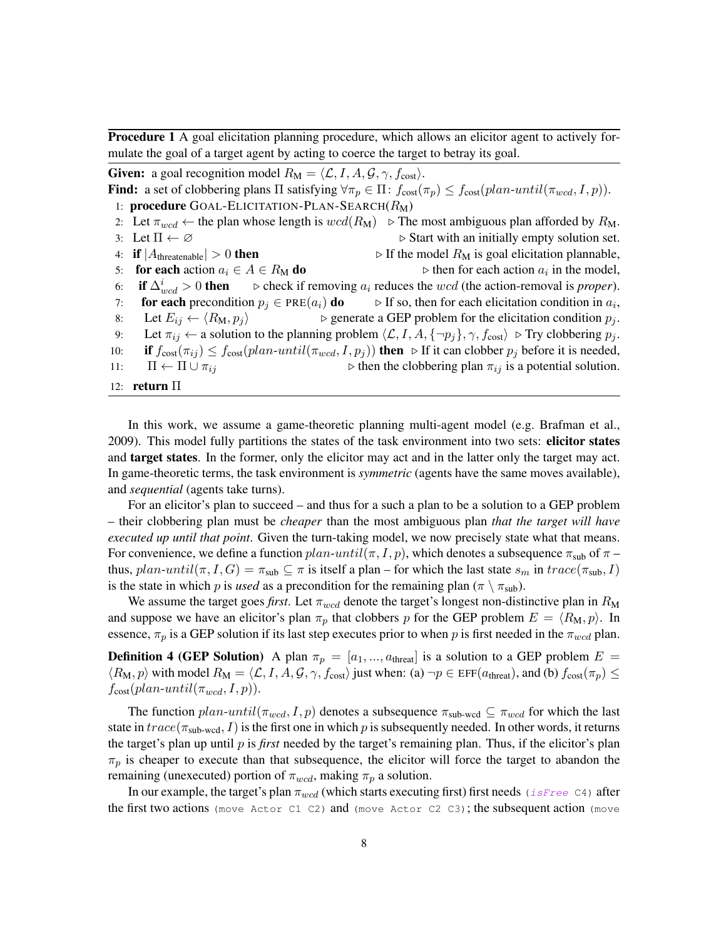Procedure 1 A goal elicitation planning procedure, which allows an elicitor agent to actively formulate the goal of a target agent by acting to coerce the target to betray its goal.

**Given:** a goal recognition model  $R_M = \langle \mathcal{L}, I, A, \mathcal{G}, \gamma, f_{\text{cost}} \rangle$ . Find: a set of clobbering plans  $\Pi$  satisfying  $\forall \pi_p \in \Pi$ :  $f_{cost}(\pi_p) \leq f_{cost}(plan-until(\pi_{wcd}, I, p)).$ 1: **procedure** GOAL-ELICITATION-PLAN-SEARCH $(R_M)$ 2: Let  $\pi_{wcd}$  ← the plan whose length is  $wcd(R_M) \triangleright$  The most ambiguous plan afforded by  $R_M$ . 3: Let  $\Pi \leftarrow \emptyset$  . Start with an initially empty solution set. 4: if  $|A_{\text{threadable}}| > 0$  then  $\triangleright$  If the model  $R_M$  is goal elicitation plannable, 5: for each action  $a_i \in A \in R_M$  do  $\triangleright$  then for each action  $a_i$  in the model, 6: if  $\Delta_{wcd}^i > 0$  then if  $\Delta_{wcd}^i > 0$  then  $\Rightarrow$  check if removing  $a_i$  reduces the wcd (the action-removal is *proper*).<br>
for each precondition  $p_i \in \text{PRE}(a_i)$  do  $\Rightarrow$  If so, then for each elicitation condition in  $a_i$ , 7: **for each** precondition  $p_j \in \text{PRE}(a_i)$  **do**  $\Rightarrow$  If so, then for each elicitation condition in  $a_i$ , 8: Let  $E_{ij} \leftarrow \langle R_M, p_j \rangle$   $\triangleright$  generate a GEP problem for the elicitation condition  $p_j$ . 9: Let  $\pi_{ij} \leftarrow$  a solution to the planning problem  $\langle \mathcal{L}, I, A, \{\neg p_j\}, \gamma, f_{\text{cost}} \rangle \triangleright \text{Try clobbering } p_j$ . 10: if  $f_{\text{cost}}(\pi_{ij}) \le f_{\text{cost}}(plan-unitil(\pi_{wcd}, I, p_j))$  then  $\triangleright$  If it can clobber  $p_j$  before it is needed, 11:  $\Pi \leftarrow \Pi \cup \pi_{ij}$  b then the clobbering plan  $\pi_{ij}$  is a potential solution. 12: return Π

In this work, we assume a game-theoretic planning multi-agent model (e.g. Brafman et al., 2009). This model fully partitions the states of the task environment into two sets: elicitor states and target states. In the former, only the elicitor may act and in the latter only the target may act. In game-theoretic terms, the task environment is *symmetric* (agents have the same moves available), and *sequential* (agents take turns).

For an elicitor's plan to succeed – and thus for a such a plan to be a solution to a GEP problem – their clobbering plan must be *cheaper* than the most ambiguous plan *that the target will have executed up until that point*. Given the turn-taking model, we now precisely state what that means. For convenience, we define a function  $plan$ -until $(\pi, I, p)$ , which denotes a subsequence  $\pi_{sub}$  of  $\pi$  – thus,  $plan-unitil(\pi, I, G) = \pi_{sub} \subseteq \pi$  is itself a plan – for which the last state  $s_m$  in  $trace(\pi_{sub}, I)$ is the state in which p is *used* as a precondition for the remaining plan ( $\pi \setminus \pi_{sub}$ ).

We assume the target goes *first*. Let  $\pi_{wcd}$  denote the target's longest non-distinctive plan in  $R_M$ and suppose we have an elicitor's plan  $\pi_p$  that clobbers p for the GEP problem  $E = \langle R_M, p \rangle$ . In essence,  $\pi_p$  is a GEP solution if its last step executes prior to when p is first needed in the  $\pi_{wcd}$  plan.

**Definition 4 (GEP Solution)** A plan  $\pi_p = [a_1, ..., a_{\text{thread}}]$  is a solution to a GEP problem  $E =$  $\langle R_{\rm M}, p \rangle$  with model  $R_{\rm M} = \langle \mathcal{L}, I, A, \mathcal{G}, \gamma, f_{\rm cost} \rangle$  just when: (a)  $\neg p \in \text{EFF}(a_{\rm thresh})$ , and (b)  $f_{\rm cost}(\pi_p) \le$  $f_{\text{cost}}(plan\text{-}until(\pi_{wcd}, I, p)).$ 

The function  $plan-unit(\pi_{wcd}, I, p)$  denotes a subsequence  $\pi_{sub-wcd} \subseteq \pi_{wcd}$  for which the last state in  $trace(\pi_{sub-wcd}, I)$  is the first one in which p is subsequently needed. In other words, it returns the target's plan up until p is *first* needed by the target's remaining plan. Thus, if the elicitor's plan  $\pi_p$  is cheaper to execute than that subsequence, the elicitor will force the target to abandon the remaining (unexecuted) portion of  $\pi_{wcd}$ , making  $\pi_p$  a solution.

In our example, the target's plan  $\pi_{wcd}$  (which starts executing first) first needs (isFree C4) after the first two actions (move Actor C1 C2) and (move Actor C2 C3); the subsequent action (move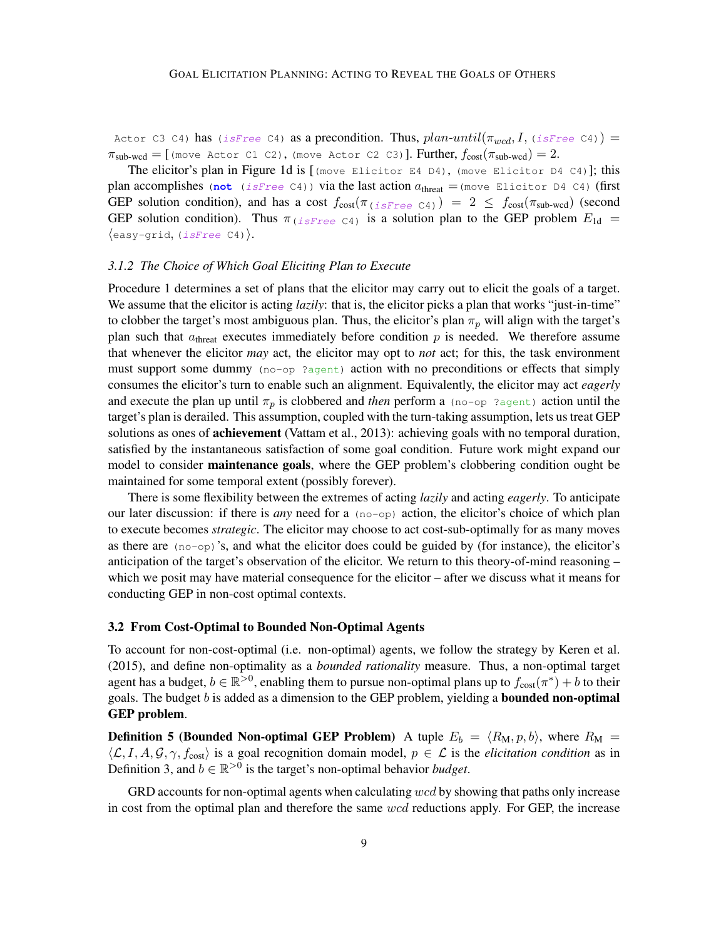Actor C3 C4) has (isFree C4) as a precondition. Thus,  $plan-unitil(\pi_{wcd}, I, (isFree C4))$  =  $\pi_{sub-wcd} =$  [(move Actor C1 C2), (move Actor C2 C3)]. Further,  $f_{cost}(\pi_{sub-wcd}) = 2$ .

The elicitor's plan in Figure 1d is  $[$  (move Elicitor E4 D4), (move Elicitor D4 C4)]; this plan accomplishes (not (isFree C4)) via the last action  $a_{\text{thresh}} = (\text{move } \text{Elicitor } D4 \text{ } C4)$  (first GEP solution condition), and has a cost  $f_{\text{cost}}(\pi_{iSFree\text{ }C4}) = 2 \leq f_{\text{cost}}(\pi_{\text{sub-wcd}})$  (second GEP solution condition). Thus  $\pi$  (isFree C4) is a solution plan to the GEP problem  $E_{1d}$  =  $\langle$ easy-grid, (*isFree* C4).

#### *3.1.2 The Choice of Which Goal Eliciting Plan to Execute*

Procedure 1 determines a set of plans that the elicitor may carry out to elicit the goals of a target. We assume that the elicitor is acting *lazily*: that is, the elicitor picks a plan that works "just-in-time" to clobber the target's most ambiguous plan. Thus, the elicitor's plan  $\pi_p$  will align with the target's plan such that  $a_{\text{thresh}}$  executes immediately before condition p is needed. We therefore assume that whenever the elicitor *may* act, the elicitor may opt to *not* act; for this, the task environment must support some dummy (no-op ?agent) action with no preconditions or effects that simply consumes the elicitor's turn to enable such an alignment. Equivalently, the elicitor may act *eagerly* and execute the plan up until  $\pi_p$  is clobbered and *then* perform a (no-op ?agent) action until the target's plan is derailed. This assumption, coupled with the turn-taking assumption, lets us treat GEP solutions as ones of **achievement** (Vattam et al., 2013): achieving goals with no temporal duration, satisfied by the instantaneous satisfaction of some goal condition. Future work might expand our model to consider maintenance goals, where the GEP problem's clobbering condition ought be maintained for some temporal extent (possibly forever).

There is some flexibility between the extremes of acting *lazily* and acting *eagerly*. To anticipate our later discussion: if there is *any* need for a (no-op) action, the elicitor's choice of which plan to execute becomes *strategic*. The elicitor may choose to act cost-sub-optimally for as many moves as there are  $(no-op)'s$ , and what the elicitor does could be guided by (for instance), the elicitor's anticipation of the target's observation of the elicitor. We return to this theory-of-mind reasoning – which we posit may have material consequence for the elicitor – after we discuss what it means for conducting GEP in non-cost optimal contexts.

#### 3.2 From Cost-Optimal to Bounded Non-Optimal Agents

To account for non-cost-optimal (i.e. non-optimal) agents, we follow the strategy by Keren et al. (2015), and define non-optimality as a *bounded rationality* measure. Thus, a non-optimal target agent has a budget,  $b \in \mathbb{R}^{>0}$ , enabling them to pursue non-optimal plans up to  $f_{\text{cost}}(\pi^*) + b$  to their goals. The budget  $b$  is added as a dimension to the GEP problem, yielding a **bounded non-optimal** GEP problem.

**Definition 5 (Bounded Non-optimal GEP Problem)** A tuple  $E_b = \langle R_M, p, b \rangle$ , where  $R_M =$  $\langle \mathcal{L}, I, A, \mathcal{G}, \gamma, f_{\text{cost}} \rangle$  is a goal recognition domain model,  $p \in \mathcal{L}$  is the *elicitation condition* as in Definition 3, and  $b \in \mathbb{R}^{>0}$  is the target's non-optimal behavior *budget*.

GRD accounts for non-optimal agents when calculating  $wcd$  by showing that paths only increase in cost from the optimal plan and therefore the same wcd reductions apply. For GEP, the increase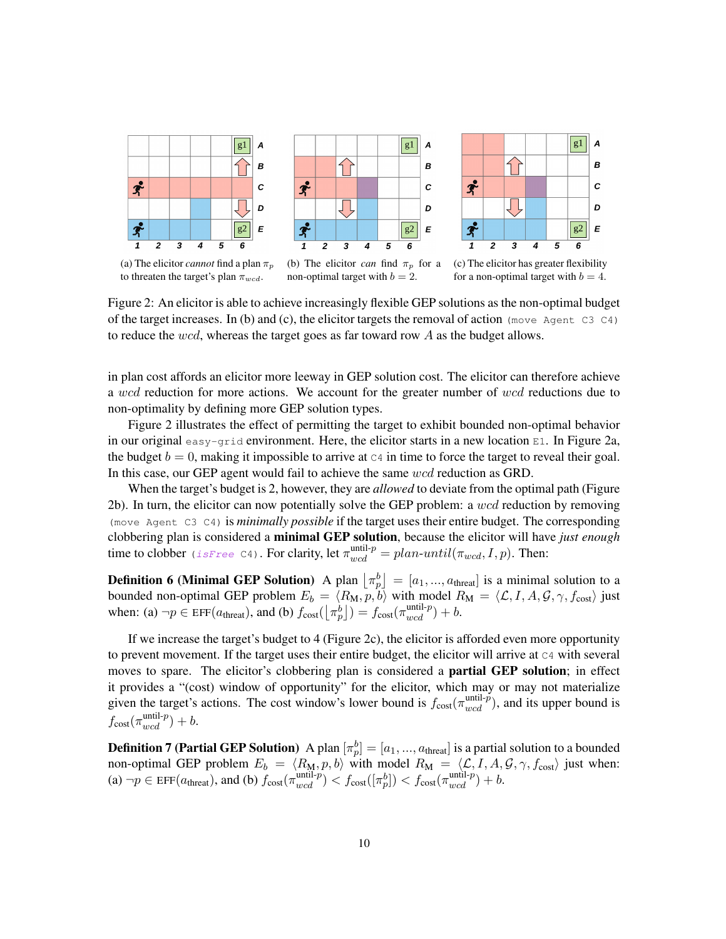

Figure 2: An elicitor is able to achieve increasingly flexible GEP solutions as the non-optimal budget of the target increases. In (b) and (c), the elicitor targets the removal of action (move Agent C3 C4) to reduce the wcd, whereas the target goes as far toward row A as the budget allows.

in plan cost affords an elicitor more leeway in GEP solution cost. The elicitor can therefore achieve a wcd reduction for more actions. We account for the greater number of wcd reductions due to non-optimality by defining more GEP solution types.

Figure 2 illustrates the effect of permitting the target to exhibit bounded non-optimal behavior in our original easy-grid environment. Here, the elicitor starts in a new location  $E1$ . In Figure 2a, the budget  $b = 0$ , making it impossible to arrive at  $c_4$  in time to force the target to reveal their goal. In this case, our GEP agent would fail to achieve the same wcd reduction as GRD.

When the target's budget is 2, however, they are *allowed* to deviate from the optimal path (Figure 2b). In turn, the elicitor can now potentially solve the GEP problem: a wcd reduction by removing (move Agent C3 C4) is *minimally possible* if the target uses their entire budget. The corresponding clobbering plan is considered a minimal GEP solution, because the elicitor will have *just enough* time to clobber (isFree C4). For clarity, let  $\pi_{wcd}^{\text{until-}p} = plan\text{-}until(\pi_{wcd}, I, p)$ . Then:

**Definition 6 (Minimal GEP Solution)** A plan  $\left[\pi^b_p\right] = [a_1, ..., a_{\text{thread}}]$  is a minimal solution to a bounded non-optimal GEP problem  $E_b = \langle R_M, p, b \rangle$  with model  $R_M = \langle \mathcal{L}, I, A, \mathcal{G}, \gamma, f_{\text{cost}} \rangle$  just when: (a)  $\neg p \in \text{EFF}(a_{\text{thresh}})$ , and (b)  $f_{\text{cost}}(\lfloor \pi_p^b \rfloor) = f_{\text{cost}}(\pi_{wcd}^{\text{until-}p}) + b$ .

If we increase the target's budget to 4 (Figure 2c), the elicitor is afforded even more opportunity to prevent movement. If the target uses their entire budget, the elicitor will arrive at  $C4$  with several moves to spare. The elicitor's clobbering plan is considered a partial GEP solution; in effect it provides a "(cost) window of opportunity" for the elicitor, which may or may not materialize given the target's actions. The cost window's lower bound is  $f_{\text{cost}}(\pi_{wcd}^{\text{until-}p})$ , and its upper bound is  $f_{\text{cost}}(\pi_{wcd}^{\text{until-}p}) + b.$ 

**Definition 7 (Partial GEP Solution)** A plan  $[\pi_p^b] = [a_1, ..., a_{\text{thread}}]$  is a partial solution to a bounded non-optimal GEP problem  $E_b = \langle R_M, p, b \rangle$  with model  $R_M = \langle \mathcal{L}, I, A, \mathcal{G}, \gamma, f_{\text{cost}} \rangle$  just when: (a)  $\neg p \in \text{EFF}(a_{\text{thresh}})$ , and (b)  $f_{\text{cost}}(\pi_{wcd}^{\text{until-}p}) < f_{\text{cost}}([\pi_p^b]) < f_{\text{cost}}(\pi_{wcd}^{\text{until-}p}) + b$ .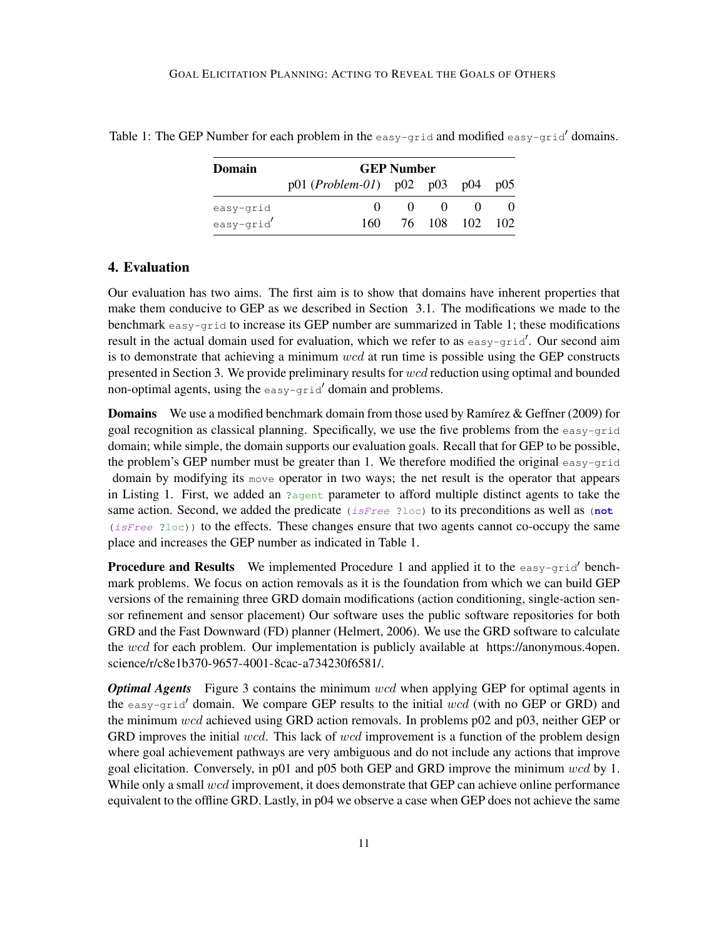| Domain    | <b>GEP Number</b>                      |          |          |                |  |
|-----------|----------------------------------------|----------|----------|----------------|--|
|           | $p01 (Problem - 01)$ $p02 p03 p04 p05$ |          |          |                |  |
| easy-grid | $\theta$                               | $\Omega$ | $\theta$ | - 0            |  |
| easy-grid | 160                                    |          |          | 76 108 102 102 |  |

Table 1: The GEP Number for each problem in the easy-grid and modified easy-grid' domains.

## 4. Evaluation

Our evaluation has two aims. The first aim is to show that domains have inherent properties that make them conducive to GEP as we described in Section 3.1. The modifications we made to the benchmark easy-grid to increase its GEP number are summarized in Table 1; these modifications result in the actual domain used for evaluation, which we refer to as  $\epsilon_{\text{asy}-\text{grid}}$ . Our second aim is to demonstrate that achieving a minimum  $wcd$  at run time is possible using the GEP constructs presented in Section 3. We provide preliminary results for wcd reduction using optimal and bounded non-optimal agents, using the  $\epsilon$  asy-grid' domain and problems.

**Domains** We use a modified benchmark domain from those used by Ramírez & Geffner (2009) for goal recognition as classical planning. Specifically, we use the five problems from the easy-grid domain; while simple, the domain supports our evaluation goals. Recall that for GEP to be possible, the problem's GEP number must be greater than 1. We therefore modified the original  $\epsilon_{asy-qrid}$ domain by modifying its move operator in two ways; the net result is the operator that appears in Listing 1. First, we added an  $a$ <sub>agent</sub> parameter to afford multiple distinct agents to take the same action. Second, we added the predicate  $(i \text{ sFree 21oc})$  to its preconditions as well as (not  $(isFree 2loc)$  to the effects. These changes ensure that two agents cannot co-occupy the same place and increases the GEP number as indicated in Table 1.

**Procedure and Results** We implemented Procedure 1 and applied it to the  $\cos y - \sin^2 \theta$  benchmark problems. We focus on action removals as it is the foundation from which we can build GEP versions of the remaining three GRD domain modifications (action conditioning, single-action sensor refinement and sensor placement) Our software uses the public software repositories for both GRD and the Fast Downward (FD) planner (Helmert, 2006). We use the GRD software to calculate the wcd for each problem. Our implementation is publicly available at https://anonymous.4open. science/r/c8e1b370-9657-4001-8cac-a734230f6581/.

*Optimal Agents* Figure 3 contains the minimum wcd when applying GEP for optimal agents in the easy-grid' domain. We compare GEP results to the initial  $wcd$  (with no GEP or GRD) and the minimum wcd achieved using GRD action removals. In problems p02 and p03, neither GEP or GRD improves the initial  $wcd$ . This lack of  $wcd$  improvement is a function of the problem design where goal achievement pathways are very ambiguous and do not include any actions that improve goal elicitation. Conversely, in p01 and p05 both GEP and GRD improve the minimum wcd by 1. While only a small  $wcd$  improvement, it does demonstrate that GEP can achieve online performance equivalent to the offline GRD. Lastly, in p04 we observe a case when GEP does not achieve the same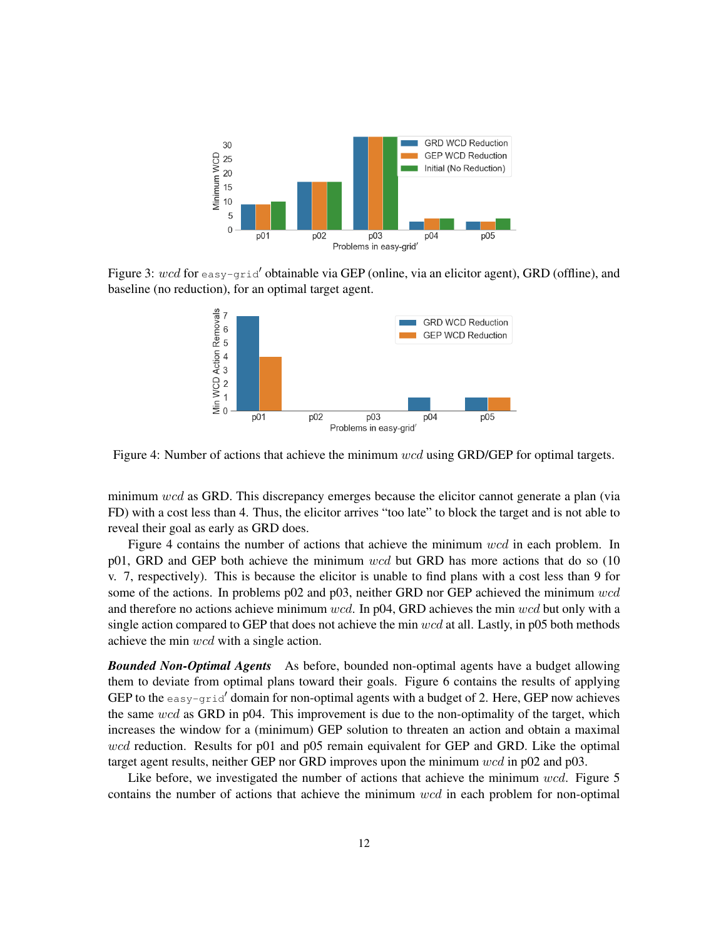

Figure 3: wcd for easy-grid' obtainable via GEP (online, via an elicitor agent), GRD (offline), and baseline (no reduction), for an optimal target agent.



Figure 4: Number of actions that achieve the minimum wcd using GRD/GEP for optimal targets.

minimum wcd as GRD. This discrepancy emerges because the elicitor cannot generate a plan (via FD) with a cost less than 4. Thus, the elicitor arrives "too late" to block the target and is not able to reveal their goal as early as GRD does.

Figure 4 contains the number of actions that achieve the minimum wcd in each problem. In p01, GRD and GEP both achieve the minimum  $wcd$  but GRD has more actions that do so (10) v. 7, respectively). This is because the elicitor is unable to find plans with a cost less than 9 for some of the actions. In problems p02 and p03, neither GRD nor GEP achieved the minimum wcd and therefore no actions achieve minimum  $wcd$ . In p04, GRD achieves the min  $wcd$  but only with a single action compared to GEP that does not achieve the min wcd at all. Lastly, in p05 both methods achieve the min wcd with a single action.

*Bounded Non-Optimal Agents* As before, bounded non-optimal agents have a budget allowing them to deviate from optimal plans toward their goals. Figure 6 contains the results of applying GEP to the  $\epsilon_{\text{easy}-grid}'$  domain for non-optimal agents with a budget of 2. Here, GEP now achieves the same wcd as GRD in p04. This improvement is due to the non-optimality of the target, which increases the window for a (minimum) GEP solution to threaten an action and obtain a maximal wcd reduction. Results for p01 and p05 remain equivalent for GEP and GRD. Like the optimal target agent results, neither GEP nor GRD improves upon the minimum wcd in p02 and p03.

Like before, we investigated the number of actions that achieve the minimum wcd. Figure 5 contains the number of actions that achieve the minimum wcd in each problem for non-optimal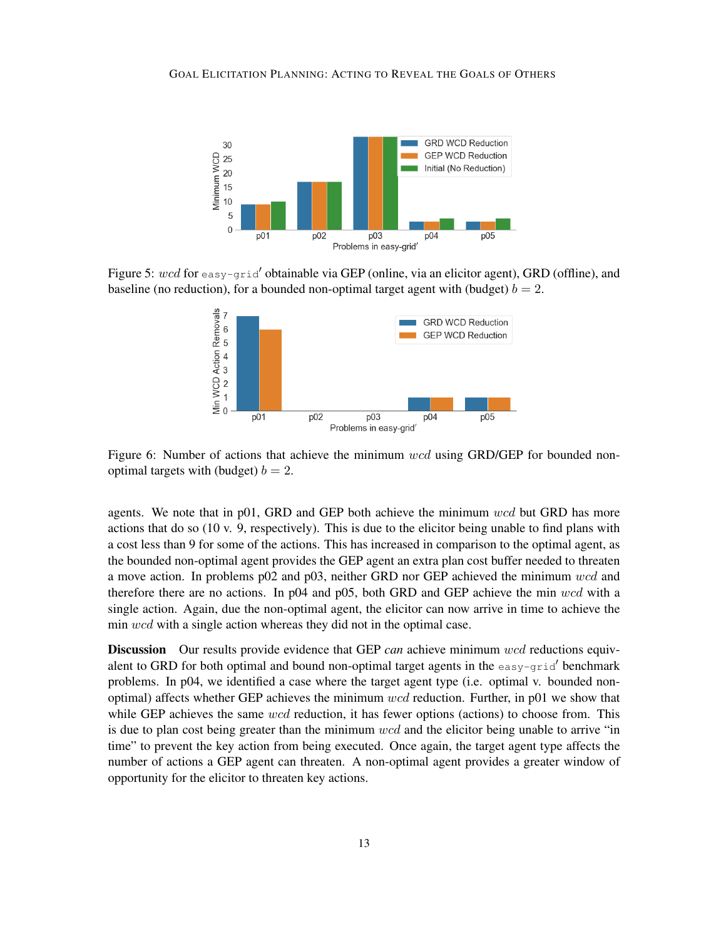

Figure 5:  $wcd$  for easy-grid' obtainable via GEP (online, via an elicitor agent), GRD (offline), and baseline (no reduction), for a bounded non-optimal target agent with (budget)  $b = 2$ .



Figure 6: Number of actions that achieve the minimum wcd using GRD/GEP for bounded nonoptimal targets with (budget)  $b = 2$ .

agents. We note that in p01, GRD and GEP both achieve the minimum wcd but GRD has more actions that do so (10 v. 9, respectively). This is due to the elicitor being unable to find plans with a cost less than 9 for some of the actions. This has increased in comparison to the optimal agent, as the bounded non-optimal agent provides the GEP agent an extra plan cost buffer needed to threaten a move action. In problems p02 and p03, neither GRD nor GEP achieved the minimum wcd and therefore there are no actions. In  $p04$  and  $p05$ , both GRD and GEP achieve the min wcd with a single action. Again, due the non-optimal agent, the elicitor can now arrive in time to achieve the min wcd with a single action whereas they did not in the optimal case.

Discussion Our results provide evidence that GEP *can* achieve minimum wcd reductions equivalent to GRD for both optimal and bound non-optimal target agents in the easy-grid<sup>'</sup> benchmark problems. In p04, we identified a case where the target agent type (i.e. optimal v. bounded nonoptimal) affects whether GEP achieves the minimum  $wcd$  reduction. Further, in p01 we show that while GEP achieves the same  $wcd$  reduction, it has fewer options (actions) to choose from. This is due to plan cost being greater than the minimum wcd and the elicitor being unable to arrive "in time" to prevent the key action from being executed. Once again, the target agent type affects the number of actions a GEP agent can threaten. A non-optimal agent provides a greater window of opportunity for the elicitor to threaten key actions.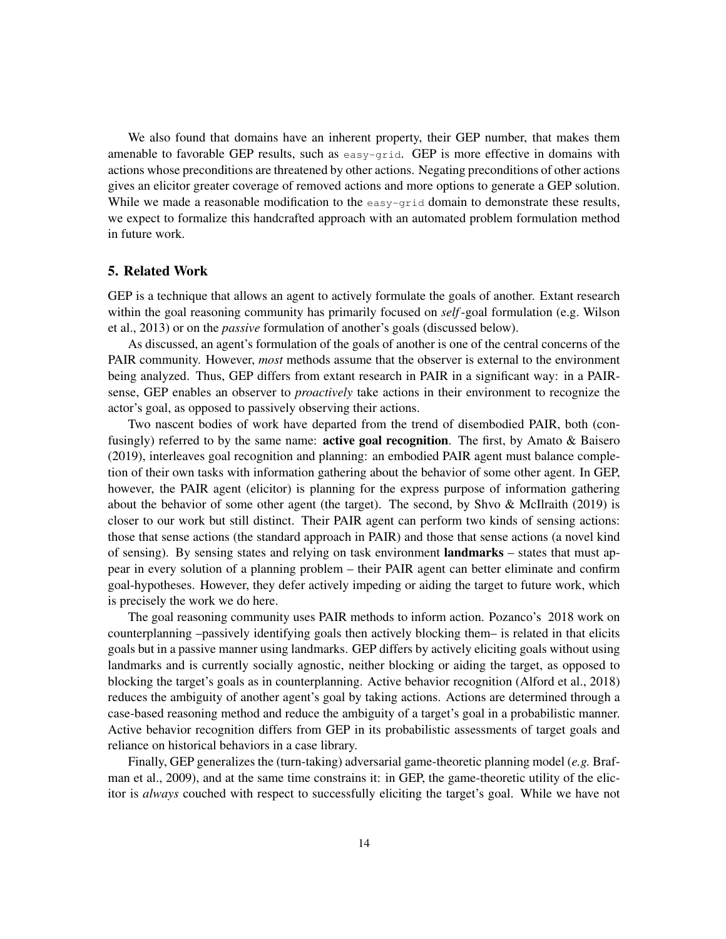We also found that domains have an inherent property, their GEP number, that makes them amenable to favorable GEP results, such as  $\epsilon$  as  $y$ -grid. GEP is more effective in domains with actions whose preconditions are threatened by other actions. Negating preconditions of other actions gives an elicitor greater coverage of removed actions and more options to generate a GEP solution. While we made a reasonable modification to the easy-grid domain to demonstrate these results, we expect to formalize this handcrafted approach with an automated problem formulation method in future work.

#### 5. Related Work

GEP is a technique that allows an agent to actively formulate the goals of another. Extant research within the goal reasoning community has primarily focused on *self*-goal formulation (e.g. Wilson et al., 2013) or on the *passive* formulation of another's goals (discussed below).

As discussed, an agent's formulation of the goals of another is one of the central concerns of the PAIR community. However, *most* methods assume that the observer is external to the environment being analyzed. Thus, GEP differs from extant research in PAIR in a significant way: in a PAIRsense, GEP enables an observer to *proactively* take actions in their environment to recognize the actor's goal, as opposed to passively observing their actions.

Two nascent bodies of work have departed from the trend of disembodied PAIR, both (confusingly) referred to by the same name: active goal recognition. The first, by Amato & Baisero (2019), interleaves goal recognition and planning: an embodied PAIR agent must balance completion of their own tasks with information gathering about the behavior of some other agent. In GEP, however, the PAIR agent (elicitor) is planning for the express purpose of information gathering about the behavior of some other agent (the target). The second, by Shvo  $\&$  McIlraith (2019) is closer to our work but still distinct. Their PAIR agent can perform two kinds of sensing actions: those that sense actions (the standard approach in PAIR) and those that sense actions (a novel kind of sensing). By sensing states and relying on task environment landmarks – states that must appear in every solution of a planning problem – their PAIR agent can better eliminate and confirm goal-hypotheses. However, they defer actively impeding or aiding the target to future work, which is precisely the work we do here.

The goal reasoning community uses PAIR methods to inform action. Pozanco's 2018 work on counterplanning –passively identifying goals then actively blocking them– is related in that elicits goals but in a passive manner using landmarks. GEP differs by actively eliciting goals without using landmarks and is currently socially agnostic, neither blocking or aiding the target, as opposed to blocking the target's goals as in counterplanning. Active behavior recognition (Alford et al., 2018) reduces the ambiguity of another agent's goal by taking actions. Actions are determined through a case-based reasoning method and reduce the ambiguity of a target's goal in a probabilistic manner. Active behavior recognition differs from GEP in its probabilistic assessments of target goals and reliance on historical behaviors in a case library.

Finally, GEP generalizes the (turn-taking) adversarial game-theoretic planning model (*e.g.* Brafman et al., 2009), and at the same time constrains it: in GEP, the game-theoretic utility of the elicitor is *always* couched with respect to successfully eliciting the target's goal. While we have not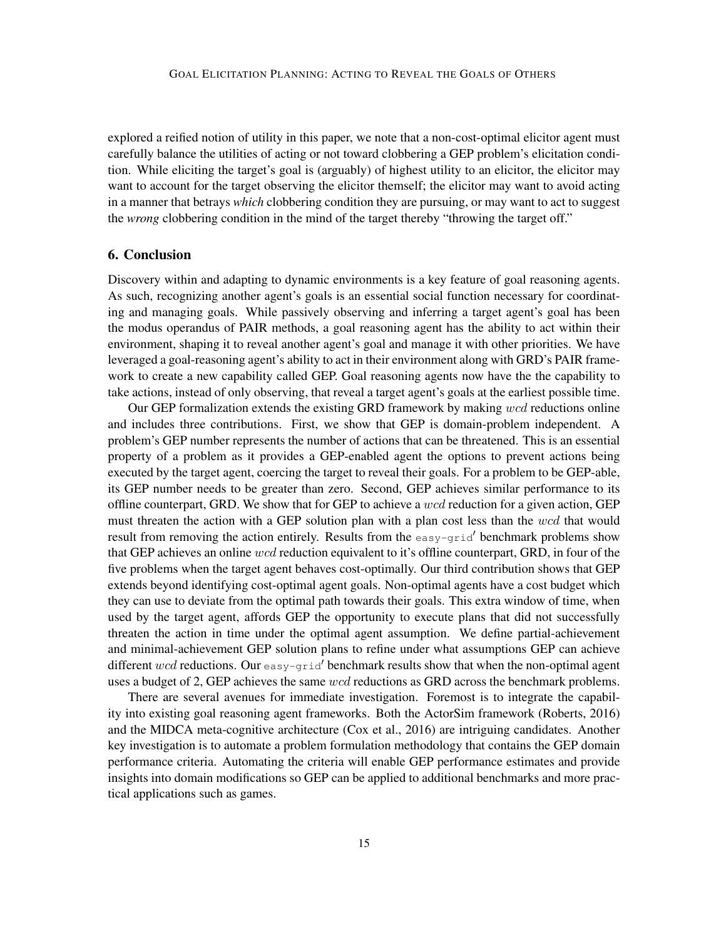explored a reified notion of utility in this paper, we note that a non-cost-optimal elicitor agent must carefully balance the utilities of acting or not toward clobbering a GEP problem's elicitation condition. While eliciting the target's goal is (arguably) of highest utility to an elicitor, the elicitor may want to account for the target observing the elicitor themself; the elicitor may want to avoid acting in a manner that betrays *which* clobbering condition they are pursuing, or may want to act to suggest the *wrong* clobbering condition in the mind of the target thereby "throwing the target off."

## 6. Conclusion

Discovery within and adapting to dynamic environments is a key feature of goal reasoning agents. As such, recognizing another agent's goals is an essential social function necessary for coordinating and managing goals. While passively observing and inferring a target agent's goal has been the modus operandus of PAIR methods, a goal reasoning agent has the ability to act within their environment, shaping it to reveal another agent's goal and manage it with other priorities. We have leveraged a goal-reasoning agent's ability to act in their environment along with GRD's PAIR framework to create a new capability called GEP. Goal reasoning agents now have the the capability to take actions, instead of only observing, that reveal a target agent's goals at the earliest possible time.

Our GEP formalization extends the existing GRD framework by making wcd reductions online and includes three contributions. First, we show that GEP is domain-problem independent. A problem's GEP number represents the number of actions that can be threatened. This is an essential property of a problem as it provides a GEP-enabled agent the options to prevent actions being executed by the target agent, coercing the target to reveal their goals. For a problem to be GEP-able, its GEP number needs to be greater than zero. Second, GEP achieves similar performance to its offline counterpart, GRD. We show that for GEP to achieve a wcd reduction for a given action, GEP must threaten the action with a GEP solution plan with a plan cost less than the wcd that would result from removing the action entirely. Results from the  $\epsilon_{\text{easy-grid}}'$  benchmark problems show that GEP achieves an online wcd reduction equivalent to it's offline counterpart, GRD, in four of the five problems when the target agent behaves cost-optimally. Our third contribution shows that GEP extends beyond identifying cost-optimal agent goals. Non-optimal agents have a cost budget which they can use to deviate from the optimal path towards their goals. This extra window of time, when used by the target agent, affords GEP the opportunity to execute plans that did not successfully threaten the action in time under the optimal agent assumption. We define partial-achievement and minimal-achievement GEP solution plans to refine under what assumptions GEP can achieve different wcd reductions. Our  $\epsilon$ asy-grid' benchmark results show that when the non-optimal agent uses a budget of 2, GEP achieves the same wcd reductions as GRD across the benchmark problems.

There are several avenues for immediate investigation. Foremost is to integrate the capability into existing goal reasoning agent frameworks. Both the ActorSim framework (Roberts, 2016) and the MIDCA meta-cognitive architecture (Cox et al., 2016) are intriguing candidates. Another key investigation is to automate a problem formulation methodology that contains the GEP domain performance criteria. Automating the criteria will enable GEP performance estimates and provide insights into domain modifications so GEP can be applied to additional benchmarks and more practical applications such as games.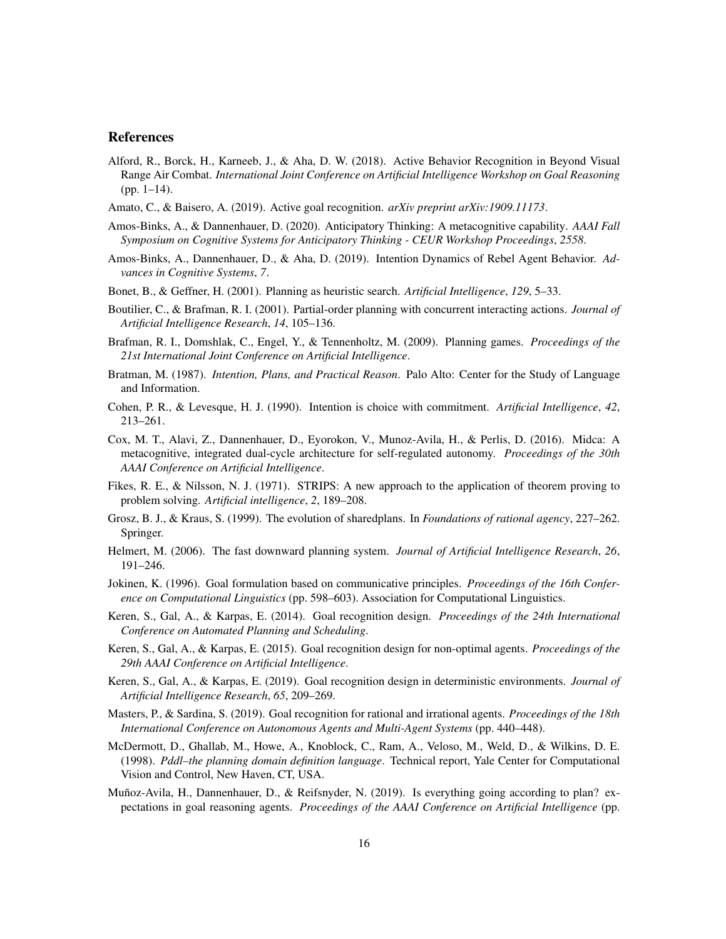#### References

- Alford, R., Borck, H., Karneeb, J., & Aha, D. W. (2018). Active Behavior Recognition in Beyond Visual Range Air Combat. *International Joint Conference on Artificial Intelligence Workshop on Goal Reasoning* (pp. 1–14).
- Amato, C., & Baisero, A. (2019). Active goal recognition. *arXiv preprint arXiv:1909.11173*.
- Amos-Binks, A., & Dannenhauer, D. (2020). Anticipatory Thinking: A metacognitive capability. *AAAI Fall Symposium on Cognitive Systems for Anticipatory Thinking - CEUR Workshop Proceedings*, *2558*.
- Amos-Binks, A., Dannenhauer, D., & Aha, D. (2019). Intention Dynamics of Rebel Agent Behavior. *Advances in Cognitive Systems*, *7*.
- Bonet, B., & Geffner, H. (2001). Planning as heuristic search. *Artificial Intelligence*, *129*, 5–33.
- Boutilier, C., & Brafman, R. I. (2001). Partial-order planning with concurrent interacting actions. *Journal of Artificial Intelligence Research*, *14*, 105–136.
- Brafman, R. I., Domshlak, C., Engel, Y., & Tennenholtz, M. (2009). Planning games. *Proceedings of the 21st International Joint Conference on Artificial Intelligence*.
- Bratman, M. (1987). *Intention, Plans, and Practical Reason*. Palo Alto: Center for the Study of Language and Information.
- Cohen, P. R., & Levesque, H. J. (1990). Intention is choice with commitment. *Artificial Intelligence*, *42*, 213–261.
- Cox, M. T., Alavi, Z., Dannenhauer, D., Eyorokon, V., Munoz-Avila, H., & Perlis, D. (2016). Midca: A metacognitive, integrated dual-cycle architecture for self-regulated autonomy. *Proceedings of the 30th AAAI Conference on Artificial Intelligence*.
- Fikes, R. E., & Nilsson, N. J. (1971). STRIPS: A new approach to the application of theorem proving to problem solving. *Artificial intelligence*, *2*, 189–208.
- Grosz, B. J., & Kraus, S. (1999). The evolution of sharedplans. In *Foundations of rational agency*, 227–262. Springer.
- Helmert, M. (2006). The fast downward planning system. *Journal of Artificial Intelligence Research*, *26*, 191–246.
- Jokinen, K. (1996). Goal formulation based on communicative principles. *Proceedings of the 16th Conference on Computational Linguistics* (pp. 598–603). Association for Computational Linguistics.
- Keren, S., Gal, A., & Karpas, E. (2014). Goal recognition design. *Proceedings of the 24th International Conference on Automated Planning and Scheduling*.
- Keren, S., Gal, A., & Karpas, E. (2015). Goal recognition design for non-optimal agents. *Proceedings of the 29th AAAI Conference on Artificial Intelligence*.
- Keren, S., Gal, A., & Karpas, E. (2019). Goal recognition design in deterministic environments. *Journal of Artificial Intelligence Research*, *65*, 209–269.
- Masters, P., & Sardina, S. (2019). Goal recognition for rational and irrational agents. *Proceedings of the 18th International Conference on Autonomous Agents and Multi-Agent Systems* (pp. 440–448).
- McDermott, D., Ghallab, M., Howe, A., Knoblock, C., Ram, A., Veloso, M., Weld, D., & Wilkins, D. E. (1998). *Pddl–the planning domain definition language*. Technical report, Yale Center for Computational Vision and Control, New Haven, CT, USA.
- Muñoz-Avila, H., Dannenhauer, D., & Reifsnyder, N. (2019). Is everything going according to plan? expectations in goal reasoning agents. *Proceedings of the AAAI Conference on Artificial Intelligence* (pp.